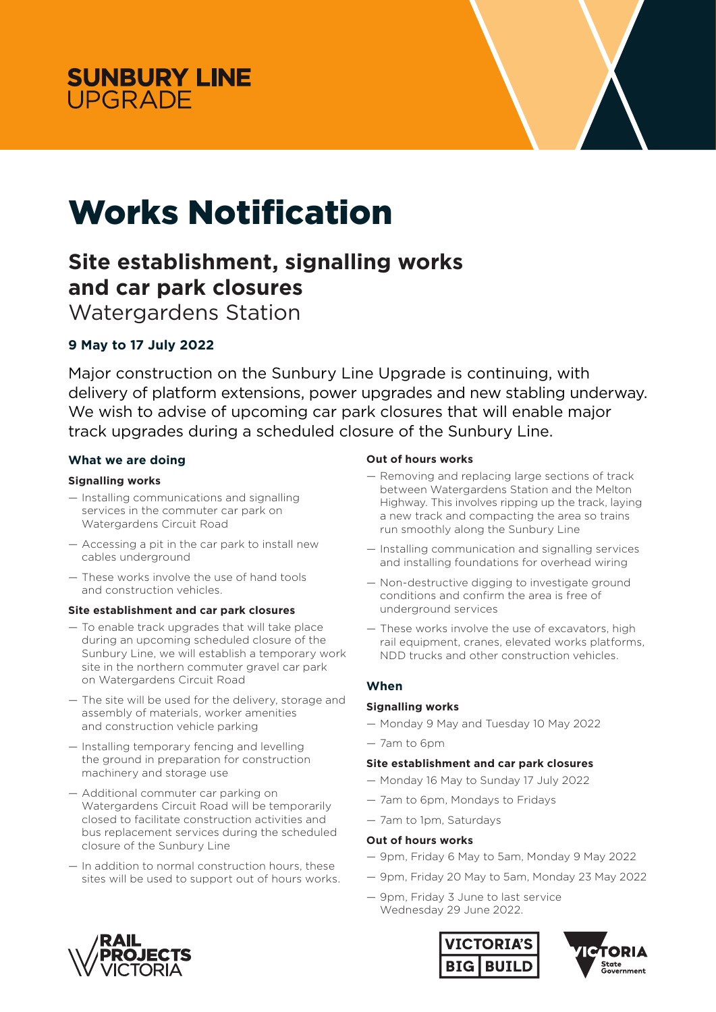



# Works Notification

## **Site establishment, signalling works and car park closures**

Watergardens Station

### **9 May to 17 July 2022**

Major construction on the Sunbury Line Upgrade is continuing, with delivery of platform extensions, power upgrades and new stabling underway. We wish to advise of upcoming car park closures that will enable major track upgrades during a scheduled closure of the Sunbury Line.

#### **What we are doing**

#### **Signalling works**

- Installing communications and signalling services in the commuter car park on Watergardens Circuit Road
- Accessing a pit in the car park to install new cables underground
- These works involve the use of hand tools and construction vehicles.

#### **Site establishment and car park closures**

- To enable track upgrades that will take place during an upcoming scheduled closure of the Sunbury Line, we will establish a temporary work site in the northern commuter gravel car park on Watergardens Circuit Road
- The site will be used for the delivery, storage and assembly of materials, worker amenities and construction vehicle parking
- Installing temporary fencing and levelling the ground in preparation for construction machinery and storage use
- Additional commuter car parking on Watergardens Circuit Road will be temporarily closed to facilitate construction activities and bus replacement services during the scheduled closure of the Sunbury Line
- In addition to normal construction hours, these sites will be used to support out of hours works.

#### **Out of hours works**

- Removing and replacing large sections of track between Watergardens Station and the Melton Highway. This involves ripping up the track, laying a new track and compacting the area so trains run smoothly along the Sunbury Line
- Installing communication and signalling services and installing foundations for overhead wiring
- Non-destructive digging to investigate ground conditions and confirm the area is free of underground services
- These works involve the use of excavators, high rail equipment, cranes, elevated works platforms, NDD trucks and other construction vehicles.

#### **When**

#### **Signalling works**

- Monday 9 May and Tuesday 10 May 2022
- 7am to 6pm

#### **Site establishment and car park closures**

- Monday 16 May to Sunday 17 July 2022
- 7am to 6pm, Mondays to Fridays
- 7am to 1pm, Saturdays

#### **Out of hours works**

- 9pm, Friday 6 May to 5am, Monday 9 May 2022
- 9pm, Friday 20 May to 5am, Monday 23 May 2022
- 9pm, Friday 3 June to last service Wednesday 29 June 2022.